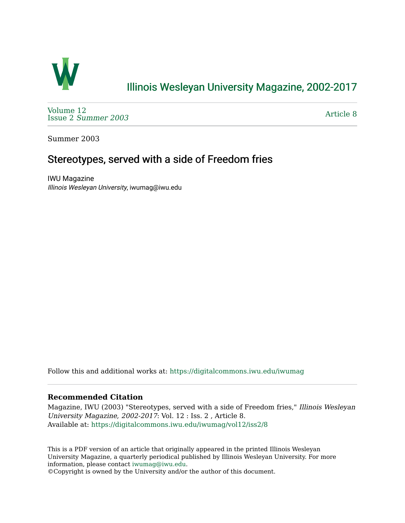

## [Illinois Wesleyan University Magazine, 2002-2017](https://digitalcommons.iwu.edu/iwumag)

[Volume 12](https://digitalcommons.iwu.edu/iwumag/vol12)  Issue 2 [Summer 2003](https://digitalcommons.iwu.edu/iwumag/vol12/iss2) 

[Article 8](https://digitalcommons.iwu.edu/iwumag/vol12/iss2/8) 

Summer 2003

## Stereotypes, served with a side of Freedom fries

IWU Magazine Illinois Wesleyan University, iwumag@iwu.edu

Follow this and additional works at: [https://digitalcommons.iwu.edu/iwumag](https://digitalcommons.iwu.edu/iwumag?utm_source=digitalcommons.iwu.edu%2Fiwumag%2Fvol12%2Fiss2%2F8&utm_medium=PDF&utm_campaign=PDFCoverPages) 

## **Recommended Citation**

Magazine, IWU (2003) "Stereotypes, served with a side of Freedom fries," Illinois Wesleyan University Magazine, 2002-2017: Vol. 12 : Iss. 2 , Article 8. Available at: [https://digitalcommons.iwu.edu/iwumag/vol12/iss2/8](https://digitalcommons.iwu.edu/iwumag/vol12/iss2/8?utm_source=digitalcommons.iwu.edu%2Fiwumag%2Fvol12%2Fiss2%2F8&utm_medium=PDF&utm_campaign=PDFCoverPages)

This is a PDF version of an article that originally appeared in the printed Illinois Wesleyan University Magazine, a quarterly periodical published by Illinois Wesleyan University. For more information, please contact [iwumag@iwu.edu](mailto:iwumag@iwu.edu).

©Copyright is owned by the University and/or the author of this document.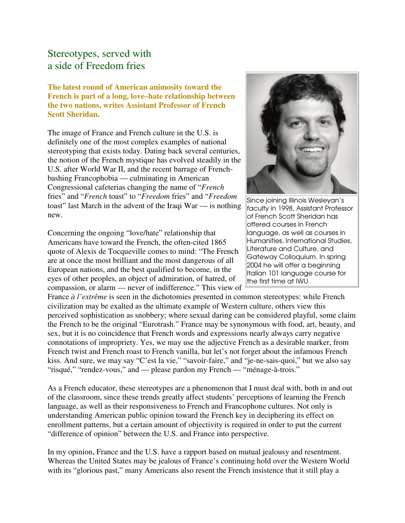## Stereotypes, served with a side of Freedom fries

**The latest round of American animosity toward the French is part of a long, love–hate relationship between the two nations, writes Assistant Professor of French Scott Sheridan.**

The image of France and French culture in the U.S. is definitely one of the most complex examples of national stereotyping that exists today. Dating back several centuries, the notion of the French mystique has evolved steadily in the U.S. after World War II, and the recent barrage of Frenchbashing Francophobia — culminating in American Congressional cafeterias changing the name of "*French* fries" and "*French* toast" to "*Freedom* fries" and "*Freedom* toast" last March in the advent of the Iraqi War — is nothing new.

Concerning the ongoing "love/hate" relationship that Americans have toward the French, the often-cited 1865 quote of Alexis de Tocqueville comes to mind: "The French are at once the most brilliant and the most dangerous of all European nations, and the best qualified to become, in the eyes of other peoples, an object of admiration, of hatred, of compassion, or alarm — never of indifference." This view of



Since joining Illinois Wesleyan's faculty in 1998, Assistant Professor of French Scott Sheridan has offered courses in French language, as well as courses in Humanities, International Studies, Literature and Culture, and Gateway Colloquium. In spring 2004 he will offer a beginning Italian 101 language course for the first time at IWU.

France *à l'extrême* is seen in the dichotomies presented in common stereotypes: while French civilization may be exalted as the ultimate example of Western culture, others view this perceived sophistication as snobbery; where sexual daring can be considered playful, some claim the French to be the original "Eurotrash." France may be synonymous with food, art, beauty, and sex, but it is no coincidence that French words and expressions nearly always carry negative connotations of impropriety. Yes, we may use the adjective French as a desirable marker, from French twist and French roast to French vanilla, but let's not forget about the infamous French kiss. And sure, we may say "C'est la vie," "savoir-faire," and "je-ne-sais-quoi," but we also say "risqué," "rendez-vous," and — please pardon my French — "ménage-à-trois."

As a French educator, these stereotypes are a phenomenon that I must deal with, both in and out of the classroom, since these trends greatly affect students' perceptions of learning the French language, as well as their responsiveness to French and Francophone cultures. Not only is understanding American public opinion toward the French key in deciphering its effect on enrollment patterns, but a certain amount of objectivity is required in order to put the current "difference of opinion" between the U.S. and France into perspective.

In my opinion, France and the U.S. have a rapport based on mutual jealousy and resentment. Whereas the United States may be jealous of France's continuing hold over the Western World with its "glorious past," many Americans also resent the French insistence that it still play a